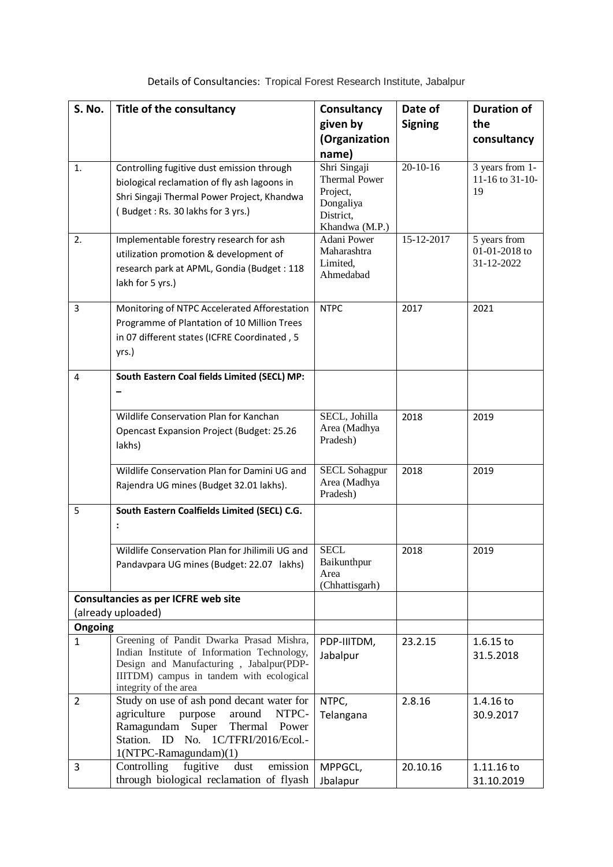| S. No.                                     | Title of the consultancy                                                                | Consultancy                   | Date of        | <b>Duration of</b>            |  |  |
|--------------------------------------------|-----------------------------------------------------------------------------------------|-------------------------------|----------------|-------------------------------|--|--|
|                                            |                                                                                         | given by                      | <b>Signing</b> | the                           |  |  |
|                                            |                                                                                         | (Organization                 |                | consultancy                   |  |  |
|                                            |                                                                                         | name)                         |                |                               |  |  |
| 1.                                         | Controlling fugitive dust emission through                                              | Shri Singaji                  | $20 - 10 - 16$ | 3 years from 1-               |  |  |
|                                            | biological reclamation of fly ash lagoons in                                            | <b>Thermal Power</b>          |                | 11-16 to 31-10-               |  |  |
|                                            |                                                                                         | Project,                      |                | 19                            |  |  |
|                                            | Shri Singaji Thermal Power Project, Khandwa                                             | Dongaliya                     |                |                               |  |  |
|                                            | (Budget: Rs. 30 lakhs for 3 yrs.)                                                       | District,                     |                |                               |  |  |
|                                            |                                                                                         | Khandwa (M.P.)<br>Adani Power | 15-12-2017     |                               |  |  |
| 2.                                         | Implementable forestry research for ash                                                 | Maharashtra                   |                | 5 years from<br>01-01-2018 to |  |  |
|                                            | utilization promotion & development of                                                  | Limited,                      |                | 31-12-2022                    |  |  |
|                                            | research park at APML, Gondia (Budget: 118                                              | Ahmedabad                     |                |                               |  |  |
|                                            | lakh for 5 yrs.)                                                                        |                               |                |                               |  |  |
| 3                                          | Monitoring of NTPC Accelerated Afforestation                                            | <b>NTPC</b>                   | 2017           | 2021                          |  |  |
|                                            | Programme of Plantation of 10 Million Trees                                             |                               |                |                               |  |  |
|                                            | in 07 different states (ICFRE Coordinated, 5                                            |                               |                |                               |  |  |
|                                            |                                                                                         |                               |                |                               |  |  |
|                                            | yrs.)                                                                                   |                               |                |                               |  |  |
| 4                                          | South Eastern Coal fields Limited (SECL) MP:                                            |                               |                |                               |  |  |
|                                            |                                                                                         |                               |                |                               |  |  |
|                                            |                                                                                         |                               |                |                               |  |  |
|                                            | Wildlife Conservation Plan for Kanchan                                                  | SECL, Johilla                 | 2018           | 2019                          |  |  |
|                                            | <b>Opencast Expansion Project (Budget: 25.26</b>                                        | Area (Madhya                  |                |                               |  |  |
|                                            | lakhs)                                                                                  | Pradesh)                      |                |                               |  |  |
|                                            |                                                                                         |                               |                |                               |  |  |
|                                            | Wildlife Conservation Plan for Damini UG and                                            | <b>SECL Sohagpur</b>          | 2018           | 2019                          |  |  |
|                                            | Rajendra UG mines (Budget 32.01 lakhs).                                                 | Area (Madhya<br>Pradesh)      |                |                               |  |  |
|                                            |                                                                                         |                               |                |                               |  |  |
| 5                                          | South Eastern Coalfields Limited (SECL) C.G.                                            |                               |                |                               |  |  |
|                                            |                                                                                         |                               |                |                               |  |  |
|                                            | Wildlife Conservation Plan for Jhilimili UG and                                         | <b>SECL</b>                   | 2018           | 2019                          |  |  |
|                                            | Pandavpara UG mines (Budget: 22.07 lakhs)                                               | Baikunthpur                   |                |                               |  |  |
|                                            |                                                                                         | Area                          |                |                               |  |  |
|                                            |                                                                                         | (Chhattisgarh)                |                |                               |  |  |
| <b>Consultancies as per ICFRE web site</b> |                                                                                         |                               |                |                               |  |  |
|                                            | (already uploaded)                                                                      |                               |                |                               |  |  |
| Ongoing                                    |                                                                                         |                               |                |                               |  |  |
| 1                                          | Greening of Pandit Dwarka Prasad Mishra,<br>Indian Institute of Information Technology, | PDP-IIITDM,                   | 23.2.15        | $1.6.15$ to                   |  |  |
|                                            | Design and Manufacturing, Jabalpur(PDP-                                                 | Jabalpur                      |                | 31.5.2018                     |  |  |
|                                            | IIITDM) campus in tandem with ecological                                                |                               |                |                               |  |  |
|                                            | integrity of the area                                                                   |                               |                |                               |  |  |
| $\overline{2}$                             | Study on use of ash pond decant water for                                               | NTPC,                         | 2.8.16         | 1.4.16 to                     |  |  |
|                                            | agriculture purpose<br>around<br>NTPC-                                                  | Telangana                     |                | 30.9.2017                     |  |  |
|                                            | Ramagundam<br>Super<br>Thermal Power                                                    |                               |                |                               |  |  |
|                                            | Station. ID No. 1C/TFRI/2016/Ecol.-                                                     |                               |                |                               |  |  |
|                                            | 1(NTPC-Ramagundam)(1)<br>fugitive<br>dust<br>emission                                   |                               |                |                               |  |  |
| 3                                          | Controlling<br>through biological reclamation of flyash                                 | MPPGCL,                       | 20.10.16       | 1.11.16 to                    |  |  |
|                                            |                                                                                         | Jbalapur                      |                | 31.10.2019                    |  |  |

Details of Consultancies: [Tropical Forest Research Institute, Jabalpur](http://icfre.org/mou-signed/IFGTB-MoU.pdf)